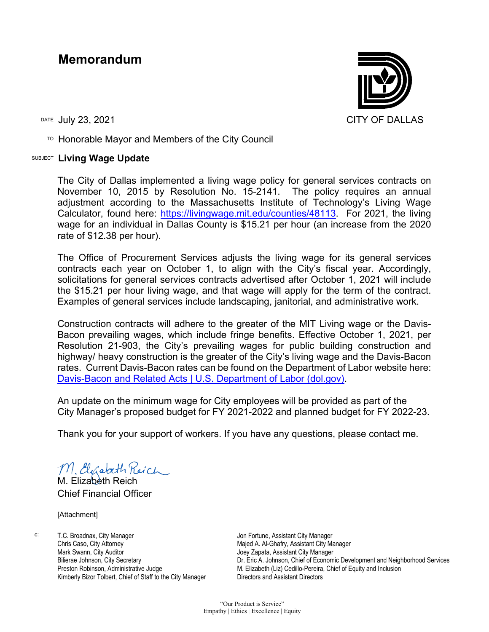## **Memorandum**

 $\overline{P}$  Honorable Mayor and Members of the City Council

## SUBJECT **Living Wage Update**

The City of Dallas implemented a living wage policy for general services contracts on November 10, 2015 by Resolution No. 15-2141. The policy requires an annual adjustment according to the Massachusetts Institute of Technology's Living Wage Calculator, found here: [https://livingwage.mit.edu/counties/48113.](https://livingwage.mit.edu/counties/48113) For 2021, the living wage for an individual in Dallas County is \$15.21 per hour (an increase from the 2020 rate of \$12.38 per hour).

The Office of Procurement Services adjusts the living wage for its general services contracts each year on October 1, to align with the City's fiscal year. Accordingly, solicitations for general services contracts advertised after October 1, 2021 will include the \$15.21 per hour living wage, and that wage will apply for the term of the contract. Examples of general services include landscaping, janitorial, and administrative work.

Construction contracts will adhere to the greater of the MIT Living wage or the Davis-Bacon prevailing wages, which include fringe benefits. Effective October 1, 2021, per Resolution 21-903, the City's prevailing wages for public building construction and highway/ heavy construction is the greater of the City's living wage and the Davis-Bacon rates. Current Davis-Bacon rates can be found on the Department of Labor website here: [Davis-Bacon and Related Acts | U.S. Department of Labor \(dol.gov\).](https://www.dol.gov/agencies/whd/government-contracts/construction)

An update on the minimum wage for City employees will be provided as part of the City Manager's proposed budget for FY 2021-2022 and planned budget for FY 2022-23.

Thank you for your support of workers. If you have any questions, please contact me.

M. Elgabeth Reich

M. Elizabeth Reich Chief Financial Officer

[Attachment]

c: T.C. Broadnax, City Manager Chris Caso, City Attorney Mark Swann, City Auditor Bilierae Johnson, City Secretary Preston Robinson, Administrative Judge Kimberly Bizor Tolbert, Chief of Staff to the City Manager

Jon Fortune, Assistant City Manager Majed A. Al-Ghafry, Assistant City Manager Joey Zapata, Assistant City Manager Dr. Eric A. Johnson, Chief of Economic Development and Neighborhood Services M. Elizabeth (Liz) Cedillo-Pereira, Chief of Equity and Inclusion Directors and Assistant Directors